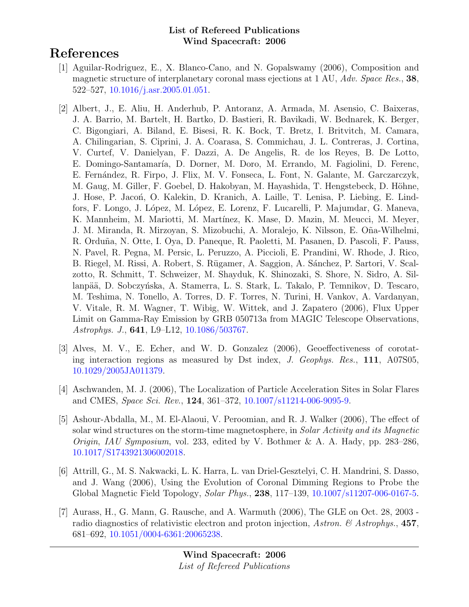# References

- [1] Aguilar-Rodriguez, E., X. Blanco-Cano, and N. Gopalswamy (2006), Composition and magnetic structure of interplanetary coronal mass ejections at 1 AU, Adv. Space Res., 38, 522–527, [10.1016/j.asr.2005.01.051.](http://dx.doi.org/10.1016/j.asr.2005.01.051)
- [2] Albert, J., E. Aliu, H. Anderhub, P. Antoranz, A. Armada, M. Asensio, C. Baixeras, J. A. Barrio, M. Bartelt, H. Bartko, D. Bastieri, R. Bavikadi, W. Bednarek, K. Berger, C. Bigongiari, A. Biland, E. Bisesi, R. K. Bock, T. Bretz, I. Britvitch, M. Camara, A. Chilingarian, S. Ciprini, J. A. Coarasa, S. Commichau, J. L. Contreras, J. Cortina, V. Curtef, V. Danielyan, F. Dazzi, A. De Angelis, R. de los Reyes, B. De Lotto, E. Domingo-Santamaría, D. Dorner, M. Doro, M. Errando, M. Fagiolini, D. Ferenc, E. Fern´andez, R. Firpo, J. Flix, M. V. Fonseca, L. Font, N. Galante, M. Garczarczyk, M. Gaug, M. Giller, F. Goebel, D. Hakobyan, M. Hayashida, T. Hengstebeck, D. Höhne, J. Hose, P. Jacon, O. Kalekin, D. Kranich, A. Laille, T. Lenisa, P. Liebing, E. Lindfors, F. Longo, J. López, M. López, E. Lorenz, F. Lucarelli, P. Majumdar, G. Maneva, K. Mannheim, M. Mariotti, M. Martínez, K. Mase, D. Mazin, M. Meucci, M. Meyer, J. M. Miranda, R. Mirzoyan, S. Mizobuchi, A. Moralejo, K. Nilsson, E. O˜na-Wilhelmi, R. Orduña, N. Otte, I. Oya, D. Paneque, R. Paoletti, M. Pasanen, D. Pascoli, F. Pauss, N. Pavel, R. Pegna, M. Persic, L. Peruzzo, A. Piccioli, E. Prandini, W. Rhode, J. Rico, B. Riegel, M. Rissi, A. Robert, S. Rügamer, A. Saggion, A. Sánchez, P. Sartori, V. Scalzotto, R. Schmitt, T. Schweizer, M. Shayduk, K. Shinozaki, S. Shore, N. Sidro, A. Sillanpää, D. Sobczyńska, A. Stamerra, L. S. Stark, L. Takalo, P. Temnikov, D. Tescaro, M. Teshima, N. Tonello, A. Torres, D. F. Torres, N. Turini, H. Vankov, A. Vardanyan, V. Vitale, R. M. Wagner, T. Wibig, W. Wittek, and J. Zapatero (2006), Flux Upper Limit on Gamma-Ray Emission by GRB 050713a from MAGIC Telescope Observations, Astrophys. J., 641, L9–L12, [10.1086/503767.](http://dx.doi.org/10.1086/503767)
- [3] Alves, M. V., E. Echer, and W. D. Gonzalez (2006), Geoeffectiveness of corotating interaction regions as measured by Dst index, J. Geophys. Res., 111, A07S05, [10.1029/2005JA011379.](http://dx.doi.org/10.1029/2005JA011379)
- [4] Aschwanden, M. J. (2006), The Localization of Particle Acceleration Sites in Solar Flares and CMES, Space Sci. Rev., 124, 361–372, [10.1007/s11214-006-9095-9.](http://dx.doi.org/10.1007/s11214-006-9095-9)
- [5] Ashour-Abdalla, M., M. El-Alaoui, V. Peroomian, and R. J. Walker (2006), The effect of solar wind structures on the storm-time magnetosphere, in Solar Activity and its Magnetic Origin, IAU Symposium, vol. 233, edited by V. Bothmer & A. A. Hady, pp. 283–286, [10.1017/S1743921306002018.](http://dx.doi.org/10.1017/S1743921306002018)
- [6] Attrill, G., M. S. Nakwacki, L. K. Harra, L. van Driel-Gesztelyi, C. H. Mandrini, S. Dasso, and J. Wang (2006), Using the Evolution of Coronal Dimming Regions to Probe the Global Magnetic Field Topology, Solar Phys., 238, 117–139, [10.1007/s11207-006-0167-5.](http://dx.doi.org/10.1007/s11207-006-0167-5)
- [7] Aurass, H., G. Mann, G. Rausche, and A. Warmuth (2006), The GLE on Oct. 28, 2003 radio diagnostics of relativistic electron and proton injection, Astron. & Astrophys., 457, 681–692, [10.1051/0004-6361:20065238.](http://dx.doi.org/10.1051/0004-6361:20065238)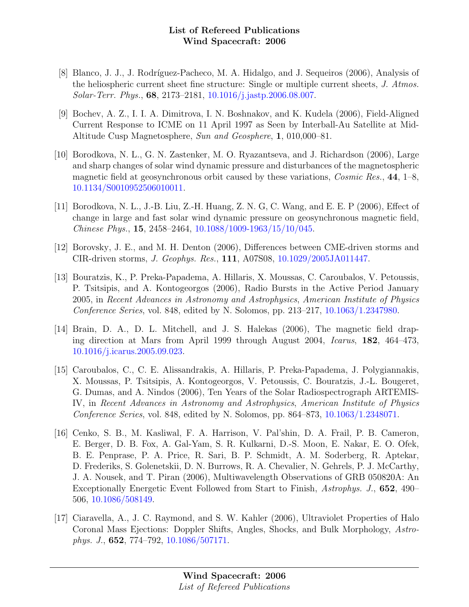- [8] Blanco, J. J., J. Rodríguez-Pacheco, M. A. Hidalgo, and J. Sequeiros (2006), Analysis of the heliospheric current sheet fine structure: Single or multiple current sheets, J. Atmos. Solar-Terr. Phys., 68, 2173–2181, [10.1016/j.jastp.2006.08.007.](http://dx.doi.org/10.1016/j.jastp.2006.08.007)
- [9] Bochev, A. Z., I. I. A. Dimitrova, I. N. Boshnakov, and K. Kudela (2006), Field-Aligned Current Response to ICME on 11 April 1997 as Seen by Interball-Au Satellite at Mid-Altitude Cusp Magnetosphere, Sun and Geosphere, 1, 010,000–81.
- [10] Borodkova, N. L., G. N. Zastenker, M. O. Ryazantseva, and J. Richardson (2006), Large and sharp changes of solar wind dynamic pressure and disturbances of the magnetospheric magnetic field at geosynchronous orbit caused by these variations, *Cosmic Res.*, 44, 1–8, [10.1134/S0010952506010011.](http://dx.doi.org/10.1134/S0010952506010011)
- [11] Borodkova, N. L., J.-B. Liu, Z.-H. Huang, Z. N. G, C. Wang, and E. E. P (2006), Effect of change in large and fast solar wind dynamic pressure on geosynchronous magnetic field, Chinese Phys., 15, 2458–2464, [10.1088/1009-1963/15/10/045.](http://dx.doi.org/10.1088/1009-1963/15/10/045)
- [12] Borovsky, J. E., and M. H. Denton (2006), Differences between CME-driven storms and CIR-driven storms, J. Geophys. Res., 111, A07S08, [10.1029/2005JA011447.](http://dx.doi.org/10.1029/2005JA011447)
- [13] Bouratzis, K., P. Preka-Papadema, A. Hillaris, X. Moussas, C. Caroubalos, V. Petoussis, P. Tsitsipis, and A. Kontogeorgos (2006), Radio Bursts in the Active Period January 2005, in Recent Advances in Astronomy and Astrophysics, American Institute of Physics Conference Series, vol. 848, edited by N. Solomos, pp. 213–217, [10.1063/1.2347980.](http://dx.doi.org/10.1063/1.2347980)
- [14] Brain, D. A., D. L. Mitchell, and J. S. Halekas (2006), The magnetic field draping direction at Mars from April 1999 through August 2004, Icarus, 182, 464–473, [10.1016/j.icarus.2005.09.023.](http://dx.doi.org/10.1016/j.icarus.2005.09.023)
- [15] Caroubalos, C., C. E. Alissandrakis, A. Hillaris, P. Preka-Papadema, J. Polygiannakis, X. Moussas, P. Tsitsipis, A. Kontogeorgos, V. Petoussis, C. Bouratzis, J.-L. Bougeret, G. Dumas, and A. Nindos (2006), Ten Years of the Solar Radiospectrograph ARTEMIS-IV, in Recent Advances in Astronomy and Astrophysics, American Institute of Physics Conference Series, vol. 848, edited by N. Solomos, pp. 864–873, [10.1063/1.2348071.](http://dx.doi.org/10.1063/1.2348071)
- [16] Cenko, S. B., M. Kasliwal, F. A. Harrison, V. Pal'shin, D. A. Frail, P. B. Cameron, E. Berger, D. B. Fox, A. Gal-Yam, S. R. Kulkarni, D.-S. Moon, E. Nakar, E. O. Ofek, B. E. Penprase, P. A. Price, R. Sari, B. P. Schmidt, A. M. Soderberg, R. Aptekar, D. Frederiks, S. Golenetskii, D. N. Burrows, R. A. Chevalier, N. Gehrels, P. J. McCarthy, J. A. Nousek, and T. Piran (2006), Multiwavelength Observations of GRB 050820A: An Exceptionally Energetic Event Followed from Start to Finish, Astrophys. J., 652, 490– 506, [10.1086/508149.](http://dx.doi.org/10.1086/508149)
- [17] Ciaravella, A., J. C. Raymond, and S. W. Kahler (2006), Ultraviolet Properties of Halo Coronal Mass Ejections: Doppler Shifts, Angles, Shocks, and Bulk Morphology, Astrophys. J., 652, 774–792, [10.1086/507171.](http://dx.doi.org/10.1086/507171)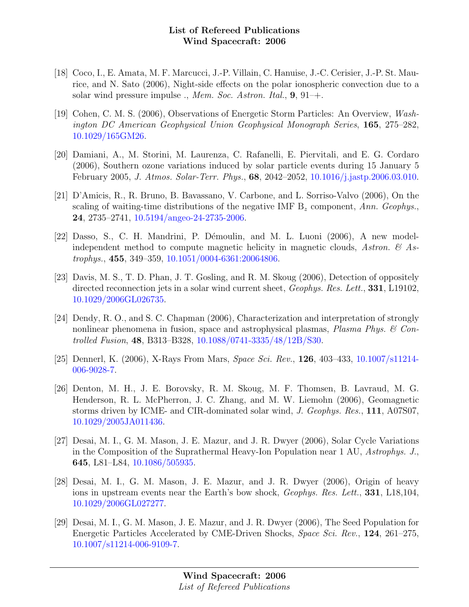- [18] Coco, I., E. Amata, M. F. Marcucci, J.-P. Villain, C. Hanuise, J.-C. Cerisier, J.-P. St. Maurice, and N. Sato (2006), Night-side effects on the polar ionospheric convection due to a solar wind pressure impulse  $\cdot$ , *Mem. Soc. Astron. Ital.*, **9**, 91–+.
- [19] Cohen, C. M. S. (2006), Observations of Energetic Storm Particles: An Overview, Washington DC American Geophysical Union Geophysical Monograph Series, 165, 275–282, [10.1029/165GM26.](http://dx.doi.org/10.1029/165GM26)
- [20] Damiani, A., M. Storini, M. Laurenza, C. Rafanelli, E. Piervitali, and E. G. Cordaro (2006), Southern ozone variations induced by solar particle events during 15 January 5 February 2005, J. Atmos. Solar-Terr. Phys., 68, 2042–2052, [10.1016/j.jastp.2006.03.010.](http://dx.doi.org/10.1016/j.jastp.2006.03.010)
- [21] D'Amicis, R., R. Bruno, B. Bavassano, V. Carbone, and L. Sorriso-Valvo (2006), On the scaling of waiting-time distributions of the negative IMF  $B<sub>z</sub>$  component, Ann. Geophys., 24, 2735–2741, [10.5194/angeo-24-2735-2006.](http://dx.doi.org/10.5194/angeo-24-2735-2006)
- $[22]$  Dasso, S., C. H. Mandrini, P. Démoulin, and M. L. Luoni  $(2006)$ , A new modelindependent method to compute magnetic helicity in magnetic clouds, Astron.  $\mathcal{C}_{A}$  Astrophys., 455, 349–359, [10.1051/0004-6361:20064806.](http://dx.doi.org/10.1051/0004-6361:20064806)
- [23] Davis, M. S., T. D. Phan, J. T. Gosling, and R. M. Skoug (2006), Detection of oppositely directed reconnection jets in a solar wind current sheet, *Geophys. Res. Lett.*, **331**, L19102, [10.1029/2006GL026735.](http://dx.doi.org/10.1029/2006GL026735)
- [24] Dendy, R. O., and S. C. Chapman (2006), Characterization and interpretation of strongly nonlinear phenomena in fusion, space and astrophysical plasmas, Plasma Phys.  $\mathcal{C}$  Controlled Fusion, 48, B313–B328, [10.1088/0741-3335/48/12B/S30.](http://dx.doi.org/10.1088/0741-3335/48/12B/S30)
- [25] Dennerl, K. (2006), X-Rays From Mars, Space Sci. Rev., 126, 403–433, [10.1007/s11214-](http://dx.doi.org/10.1007/s11214-006-9028-7) [006-9028-7.](http://dx.doi.org/10.1007/s11214-006-9028-7)
- [26] Denton, M. H., J. E. Borovsky, R. M. Skoug, M. F. Thomsen, B. Lavraud, M. G. Henderson, R. L. McPherron, J. C. Zhang, and M. W. Liemohn (2006), Geomagnetic storms driven by ICME- and CIR-dominated solar wind, J. Geophys. Res., 111, A07S07, [10.1029/2005JA011436.](http://dx.doi.org/10.1029/2005JA011436)
- [27] Desai, M. I., G. M. Mason, J. E. Mazur, and J. R. Dwyer (2006), Solar Cycle Variations in the Composition of the Suprathermal Heavy-Ion Population near 1 AU, Astrophys. J., 645, L81–L84, [10.1086/505935.](http://dx.doi.org/10.1086/505935)
- [28] Desai, M. I., G. M. Mason, J. E. Mazur, and J. R. Dwyer (2006), Origin of heavy ions in upstream events near the Earth's bow shock, *Geophys. Res. Lett.*, **331**, L18,104, [10.1029/2006GL027277.](http://dx.doi.org/10.1029/2006GL027277)
- [29] Desai, M. I., G. M. Mason, J. E. Mazur, and J. R. Dwyer (2006), The Seed Population for Energetic Particles Accelerated by CME-Driven Shocks, Space Sci. Rev., 124, 261–275, [10.1007/s11214-006-9109-7.](http://dx.doi.org/10.1007/s11214-006-9109-7)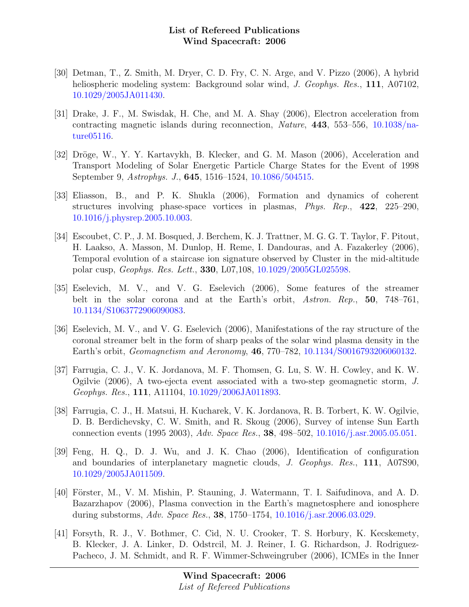- [30] Detman, T., Z. Smith, M. Dryer, C. D. Fry, C. N. Arge, and V. Pizzo (2006), A hybrid heliospheric modeling system: Background solar wind, J. Geophys. Res., 111, A07102, [10.1029/2005JA011430.](http://dx.doi.org/10.1029/2005JA011430)
- [31] Drake, J. F., M. Swisdak, H. Che, and M. A. Shay (2006), Electron acceleration from contracting magnetic islands during reconnection, *Nature*, **443**, 553–556, [10.1038/na](http://dx.doi.org/10.1038/nature05116)[ture05116.](http://dx.doi.org/10.1038/nature05116)
- [32] Dröge, W., Y. Y. Kartavykh, B. Klecker, and G. M. Mason (2006), Acceleration and Transport Modeling of Solar Energetic Particle Charge States for the Event of 1998 September 9, Astrophys. J., 645, 1516–1524, [10.1086/504515.](http://dx.doi.org/10.1086/504515)
- [33] Eliasson, B., and P. K. Shukla (2006), Formation and dynamics of coherent structures involving phase-space vortices in plasmas, Phys. Rep., 422, 225–290, [10.1016/j.physrep.2005.10.003.](http://dx.doi.org/10.1016/j.physrep.2005.10.003)
- [34] Escoubet, C. P., J. M. Bosqued, J. Berchem, K. J. Trattner, M. G. G. T. Taylor, F. Pitout, H. Laakso, A. Masson, M. Dunlop, H. Reme, I. Dandouras, and A. Fazakerley (2006), Temporal evolution of a staircase ion signature observed by Cluster in the mid-altitude polar cusp, Geophys. Res. Lett., 330, L07,108, [10.1029/2005GL025598.](http://dx.doi.org/10.1029/2005GL025598)
- [35] Eselevich, M. V., and V. G. Eselevich (2006), Some features of the streamer belt in the solar corona and at the Earth's orbit, Astron. Rep., 50, 748–761, [10.1134/S1063772906090083.](http://dx.doi.org/10.1134/S1063772906090083)
- [36] Eselevich, M. V., and V. G. Eselevich (2006), Manifestations of the ray structure of the coronal streamer belt in the form of sharp peaks of the solar wind plasma density in the Earth's orbit, Geomagnetism and Aeronomy, 46, 770–782, [10.1134/S0016793206060132.](http://dx.doi.org/10.1134/S0016793206060132)
- [37] Farrugia, C. J., V. K. Jordanova, M. F. Thomsen, G. Lu, S. W. H. Cowley, and K. W. Ogilvie (2006), A two-ejecta event associated with a two-step geomagnetic storm, J. Geophys. Res., 111, A11104, [10.1029/2006JA011893.](http://dx.doi.org/10.1029/2006JA011893)
- [38] Farrugia, C. J., H. Matsui, H. Kucharek, V. K. Jordanova, R. B. Torbert, K. W. Ogilvie, D. B. Berdichevsky, C. W. Smith, and R. Skoug (2006), Survey of intense Sun Earth connection events (1995 2003), Adv. Space Res., 38, 498–502, [10.1016/j.asr.2005.05.051.](http://dx.doi.org/10.1016/j.asr.2005.05.051)
- [39] Feng, H. Q., D. J. Wu, and J. K. Chao (2006), Identification of configuration and boundaries of interplanetary magnetic clouds, J. Geophys. Res., 111, A07S90, [10.1029/2005JA011509.](http://dx.doi.org/10.1029/2005JA011509)
- [40] Förster, M., V. M. Mishin, P. Stauning, J. Watermann, T. I. Saifudinova, and A. D. Bazarzhapov (2006), Plasma convection in the Earth's magnetosphere and ionosphere during substorms, Adv. Space Res., 38, 1750–1754, [10.1016/j.asr.2006.03.029.](http://dx.doi.org/10.1016/j.asr.2006.03.029)
- [41] Forsyth, R. J., V. Bothmer, C. Cid, N. U. Crooker, T. S. Horbury, K. Kecskemety, B. Klecker, J. A. Linker, D. Odstrcil, M. J. Reiner, I. G. Richardson, J. Rodriguez-Pacheco, J. M. Schmidt, and R. F. Wimmer-Schweingruber (2006), ICMEs in the Inner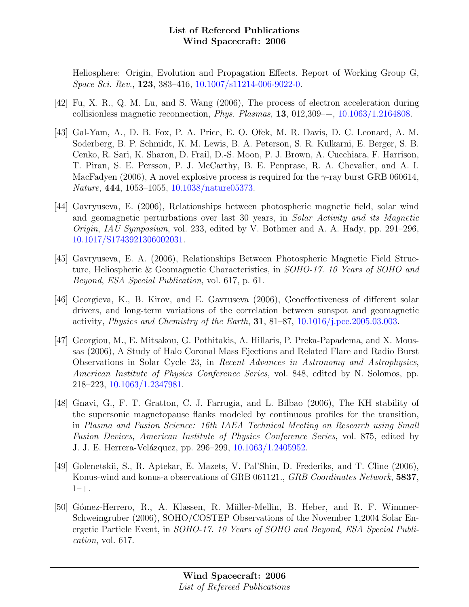Heliosphere: Origin, Evolution and Propagation Effects. Report of Working Group G, Space Sci. Rev., 123, 383–416, [10.1007/s11214-006-9022-0.](http://dx.doi.org/10.1007/s11214-006-9022-0)

- [42] Fu, X. R., Q. M. Lu, and S. Wang (2006), The process of electron acceleration during collisionless magnetic reconnection, Phys. Plasmas, 13, 012,309–+, [10.1063/1.2164808.](http://dx.doi.org/10.1063/1.2164808)
- [43] Gal-Yam, A., D. B. Fox, P. A. Price, E. O. Ofek, M. R. Davis, D. C. Leonard, A. M. Soderberg, B. P. Schmidt, K. M. Lewis, B. A. Peterson, S. R. Kulkarni, E. Berger, S. B. Cenko, R. Sari, K. Sharon, D. Frail, D.-S. Moon, P. J. Brown, A. Cucchiara, F. Harrison, T. Piran, S. E. Persson, P. J. McCarthy, B. E. Penprase, R. A. Chevalier, and A. I. MacFadyen (2006), A novel explosive process is required for the  $\gamma$ -ray burst GRB 060614, Nature, 444, 1053–1055, [10.1038/nature05373.](http://dx.doi.org/10.1038/nature05373)
- [44] Gavryuseva, E. (2006), Relationships between photospheric magnetic field, solar wind and geomagnetic perturbations over last 30 years, in Solar Activity and its Magnetic Origin, IAU Symposium, vol. 233, edited by V. Bothmer and A. A. Hady, pp. 291–296, [10.1017/S1743921306002031.](http://dx.doi.org/10.1017/S1743921306002031)
- [45] Gavryuseva, E. A. (2006), Relationships Between Photospheric Magnetic Field Structure, Heliospheric & Geomagnetic Characteristics, in SOHO-17. 10 Years of SOHO and Beyond, ESA Special Publication, vol. 617, p. 61.
- [46] Georgieva, K., B. Kirov, and E. Gavruseva (2006), Geoeffectiveness of different solar drivers, and long-term variations of the correlation between sunspot and geomagnetic activity, *Physics and Chemistry of the Earth*, **31**,  $81-87$ ,  $10.1016/j.$  pce. 2005.03.003.
- [47] Georgiou, M., E. Mitsakou, G. Pothitakis, A. Hillaris, P. Preka-Papadema, and X. Moussas (2006), A Study of Halo Coronal Mass Ejections and Related Flare and Radio Burst Observations in Solar Cycle 23, in Recent Advances in Astronomy and Astrophysics, American Institute of Physics Conference Series, vol. 848, edited by N. Solomos, pp. 218–223, [10.1063/1.2347981.](http://dx.doi.org/10.1063/1.2347981)
- [48] Gnavi, G., F. T. Gratton, C. J. Farrugia, and L. Bilbao (2006), The KH stability of the supersonic magnetopause flanks modeled by continuous profiles for the transition, in Plasma and Fusion Science: 16th IAEA Technical Meeting on Research using Small Fusion Devices, American Institute of Physics Conference Series, vol. 875, edited by J. J. E. Herrera-Velázquez, pp. 296–299, [10.1063/1.2405952.](http://dx.doi.org/10.1063/1.2405952)
- [49] Golenetskii, S., R. Aptekar, E. Mazets, V. Pal'Shin, D. Frederiks, and T. Cline (2006), Konus-wind and konus-a observations of GRB 061121., GRB Coordinates Network, 5837,  $1 - +$ .
- [50] Gómez-Herrero, R., A. Klassen, R. Müller-Mellin, B. Heber, and R. F. Wimmer-Schweingruber (2006), SOHO/COSTEP Observations of the November 1,2004 Solar Energetic Particle Event, in SOHO-17. 10 Years of SOHO and Beyond, ESA Special Publication, vol. 617.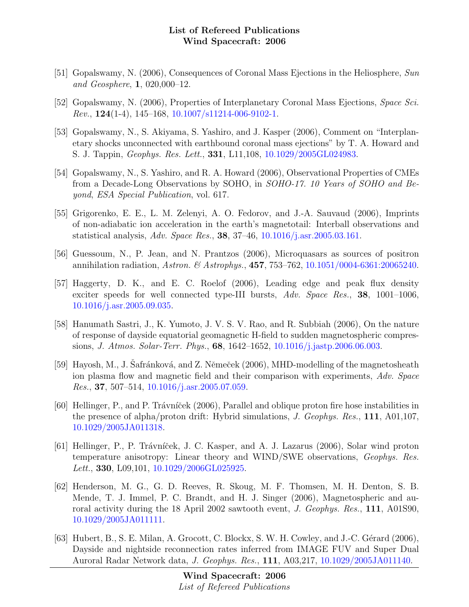- [51] Gopalswamy, N. (2006), Consequences of Coronal Mass Ejections in the Heliosphere, Sun and Geosphere, 1, 020,000–12.
- [52] Gopalswamy, N. (2006), Properties of Interplanetary Coronal Mass Ejections, Space Sci. *Rev.*,  $124(1-4)$ ,  $145-168$ ,  $10.1007/s11214-006-9102-1$ .
- [53] Gopalswamy, N., S. Akiyama, S. Yashiro, and J. Kasper (2006), Comment on "Interplanetary shocks unconnected with earthbound coronal mass ejections" by T. A. Howard and S. J. Tappin, Geophys. Res. Lett., 331, L11,108, [10.1029/2005GL024983.](http://dx.doi.org/10.1029/2005GL024983)
- [54] Gopalswamy, N., S. Yashiro, and R. A. Howard (2006), Observational Properties of CMEs from a Decade-Long Observations by SOHO, in SOHO-17. 10 Years of SOHO and Beyond, ESA Special Publication, vol. 617.
- [55] Grigorenko, E. E., L. M. Zelenyi, A. O. Fedorov, and J.-A. Sauvaud (2006), Imprints of non-adiabatic ion acceleration in the earth's magnetotail: Interball observations and statistical analysis, Adv. Space Res., 38, 37–46, [10.1016/j.asr.2005.03.161.](http://dx.doi.org/10.1016/j.asr.2005.03.161)
- [56] Guessoum, N., P. Jean, and N. Prantzos (2006), Microquasars as sources of positron annihilation radiation, Astron. & Astrophys., 457, 753-762, [10.1051/0004-6361:20065240.](http://dx.doi.org/10.1051/0004-6361:20065240)
- [57] Haggerty, D. K., and E. C. Roelof (2006), Leading edge and peak flux density exciter speeds for well connected type-III bursts, Adv. Space Res., 38, 1001-1006, [10.1016/j.asr.2005.09.035.](http://dx.doi.org/10.1016/j.asr.2005.09.035)
- [58] Hanumath Sastri, J., K. Yumoto, J. V. S. V. Rao, and R. Subbiah (2006), On the nature of response of dayside equatorial geomagnetic H-field to sudden magnetospheric compressions, J. Atmos. Solar-Terr. Phys., 68, 1642–1652, [10.1016/j.jastp.2006.06.003.](http://dx.doi.org/10.1016/j.jastp.2006.06.003)
- [59] Hayosh, M., J. Safránková, and Z. Němeček (2006), MHD-modelling of the magnetosheath ion plasma flow and magnetic field and their comparison with experiments, Adv. Space Res., 37, 507–514, [10.1016/j.asr.2005.07.059.](http://dx.doi.org/10.1016/j.asr.2005.07.059)
- [60] Hellinger, P., and P. Trávníček (2006), Parallel and oblique proton fire hose instabilities in the presence of alpha/proton drift: Hybrid simulations, J. Geophys. Res., 111, A01,107, [10.1029/2005JA011318.](http://dx.doi.org/10.1029/2005JA011318)
- [61] Hellinger, P., P. Trávníček, J. C. Kasper, and A. J. Lazarus (2006), Solar wind proton temperature anisotropy: Linear theory and WIND/SWE observations, Geophys. Res. Lett., 330, L09,101, [10.1029/2006GL025925.](http://dx.doi.org/10.1029/2006GL025925)
- [62] Henderson, M. G., G. D. Reeves, R. Skoug, M. F. Thomsen, M. H. Denton, S. B. Mende, T. J. Immel, P. C. Brandt, and H. J. Singer (2006), Magnetospheric and auroral activity during the 18 April 2002 sawtooth event, J. Geophys. Res., 111, A01S90, [10.1029/2005JA011111.](http://dx.doi.org/10.1029/2005JA011111)
- [63] Hubert, B., S. E. Milan, A. Grocott, C. Blockx, S. W. H. Cowley, and J.-C. Gérard (2006), Dayside and nightside reconnection rates inferred from IMAGE FUV and Super Dual Auroral Radar Network data, J. Geophys. Res., 111, A03,217, [10.1029/2005JA011140.](http://dx.doi.org/10.1029/2005JA011140)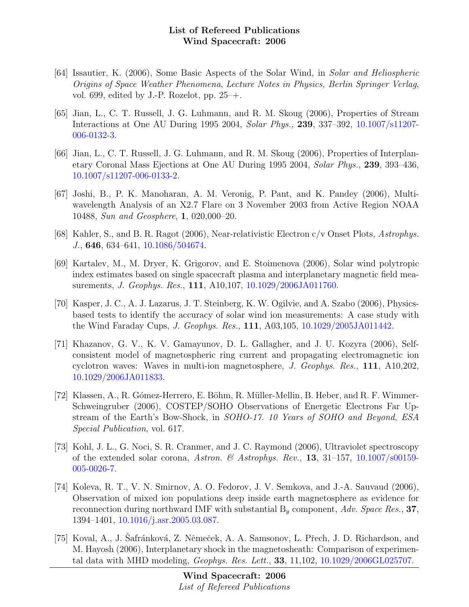- [64] Issautier, K. (2006), Some Basic Aspects of the Solar Wind, in Solar and Heliospheric Origins of Space Weather Phenomena, Lecture Notes in Physics, Berlin Springer Verlag, vol. 699, edited by J.-P. Rozelot, pp.  $25-+$ .
- [65] Jian, L., C. T. Russell, J. G. Luhmann, and R. M. Skoug (2006), Properties of Stream Interactions at One AU During 1995 2004, Solar Phys., 239, 337–392, [10.1007/s11207-](http://dx.doi.org/10.1007/s11207-006-0132-3) [006-0132-3.](http://dx.doi.org/10.1007/s11207-006-0132-3)
- [66] Jian, L., C. T. Russell, J. G. Luhmann, and R. M. Skoug (2006), Properties of Interplanetary Coronal Mass Ejections at One AU During 1995 2004, Solar Phys., 239, 393–436, [10.1007/s11207-006-0133-2.](http://dx.doi.org/10.1007/s11207-006-0133-2)
- [67] Joshi, B., P. K. Manoharan, A. M. Veronig, P. Pant, and K. Pandey (2006), Multiwavelength Analysis of an X2.7 Flare on 3 November 2003 from Active Region NOAA 10488, Sun and Geosphere, 1, 020,000–20.
- [68] Kahler, S., and B. R. Ragot (2006), Near-relativistic Electron c/v Onset Plots, Astrophys. J., 646, 634–641, [10.1086/504674.](http://dx.doi.org/10.1086/504674)
- [69] Kartalev, M., M. Dryer, K. Grigorov, and E. Stoimenova (2006), Solar wind polytropic index estimates based on single spacecraft plasma and interplanetary magnetic field measurements, J. Geophys. Res., 111, A10,107, [10.1029/2006JA011760.](http://dx.doi.org/10.1029/2006JA011760)
- [70] Kasper, J. C., A. J. Lazarus, J. T. Steinberg, K. W. Ogilvie, and A. Szabo (2006), Physicsbased tests to identify the accuracy of solar wind ion measurements: A case study with the Wind Faraday Cups, J. Geophys. Res., 111, A03,105, [10.1029/2005JA011442.](http://dx.doi.org/10.1029/2005JA011442)
- [71] Khazanov, G. V., K. V. Gamayunov, D. L. Gallagher, and J. U. Kozyra (2006), Selfconsistent model of magnetospheric ring current and propagating electromagnetic ion cyclotron waves: Waves in multi-ion magnetosphere, J. Geophys. Res., 111, A10,202, [10.1029/2006JA011833.](http://dx.doi.org/10.1029/2006JA011833)
- [72] Klassen, A., R. Gómez-Herrero, E. Böhm, R. Müller-Mellin, B. Heber, and R. F. Wimmer-Schweingruber (2006), COSTEP/SOHO Observations of Energetic Electrons Far Upstream of the Earth's Bow-Shock, in SOHO-17. 10 Years of SOHO and Beyond, ESA Special Publication, vol. 617.
- [73] Kohl, J. L., G. Noci, S. R. Cranmer, and J. C. Raymond (2006), Ultraviolet spectroscopy of the extended solar corona, Astron. & Astrophys. Rev., 13, 31–157, [10.1007/s00159-](http://dx.doi.org/10.1007/s00159-005-0026-7) [005-0026-7.](http://dx.doi.org/10.1007/s00159-005-0026-7)
- [74] Koleva, R. T., V. N. Smirnov, A. O. Fedorov, J. V. Semkova, and J.-A. Sauvaud (2006), Observation of mixed ion populations deep inside earth magnetosphere as evidence for reconnection during northward IMF with substantial  $B<sub>y</sub>$  component, Adv. Space Res., 37, 1394–1401, [10.1016/j.asr.2005.03.087.](http://dx.doi.org/10.1016/j.asr.2005.03.087)
- [75] Koval, A., J. Safránková, Z. Němeček, A. A. Samsonov, L. Přech, J. D. Richardson, and M. Hayosh (2006), Interplanetary shock in the magnetosheath: Comparison of experimental data with MHD modeling, Geophys. Res. Lett., 33, 11,102, [10.1029/2006GL025707.](http://dx.doi.org/10.1029/2006GL025707)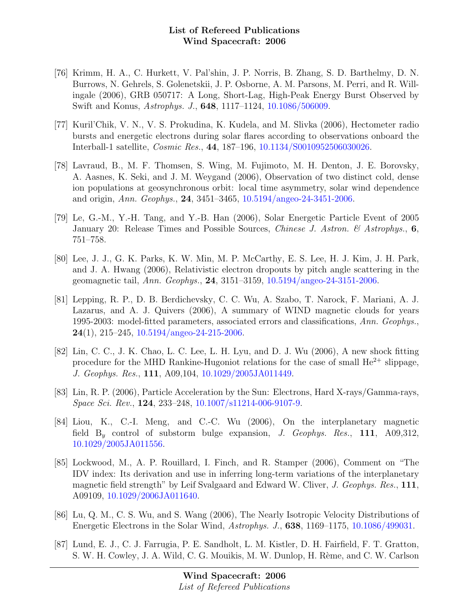- [76] Krimm, H. A., C. Hurkett, V. Pal'shin, J. P. Norris, B. Zhang, S. D. Barthelmy, D. N. Burrows, N. Gehrels, S. Golenetskii, J. P. Osborne, A. M. Parsons, M. Perri, and R. Willingale (2006), GRB 050717: A Long, Short-Lag, High-Peak Energy Burst Observed by Swift and Konus, Astrophys. J., 648, 1117–1124, [10.1086/506009.](http://dx.doi.org/10.1086/506009)
- [77] Kuril'Chik, V. N., V. S. Prokudina, K. Kudela, and M. Slivka (2006), Hectometer radio bursts and energetic electrons during solar flares according to observations onboard the Interball-1 satellite, Cosmic Res., 44, 187–196, [10.1134/S0010952506030026.](http://dx.doi.org/10.1134/S0010952506030026)
- [78] Lavraud, B., M. F. Thomsen, S. Wing, M. Fujimoto, M. H. Denton, J. E. Borovsky, A. Aasnes, K. Seki, and J. M. Weygand (2006), Observation of two distinct cold, dense ion populations at geosynchronous orbit: local time asymmetry, solar wind dependence and origin, Ann. Geophys., 24, 3451–3465, [10.5194/angeo-24-3451-2006.](http://dx.doi.org/10.5194/angeo-24-3451-2006)
- [79] Le, G.-M., Y.-H. Tang, and Y.-B. Han (2006), Solar Energetic Particle Event of 2005 January 20: Release Times and Possible Sources, *Chinese J. Astron.* & Astrophys., 6, 751–758.
- [80] Lee, J. J., G. K. Parks, K. W. Min, M. P. McCarthy, E. S. Lee, H. J. Kim, J. H. Park, and J. A. Hwang (2006), Relativistic electron dropouts by pitch angle scattering in the geomagnetic tail, Ann. Geophys., 24, 3151–3159, [10.5194/angeo-24-3151-2006.](http://dx.doi.org/10.5194/angeo-24-3151-2006)
- [81] Lepping, R. P., D. B. Berdichevsky, C. C. Wu, A. Szabo, T. Narock, F. Mariani, A. J. Lazarus, and A. J. Quivers (2006), A summary of WIND magnetic clouds for years 1995-2003: model-fitted parameters, associated errors and classifications, Ann. Geophys.,  $24(1)$ , 215–245, [10.5194/angeo-24-215-2006.](http://dx.doi.org/10.5194/angeo-24-215-2006)
- [82] Lin, C. C., J. K. Chao, L. C. Lee, L. H. Lyu, and D. J. Wu (2006), A new shock fitting procedure for the MHD Rankine-Hugoniot relations for the case of small  $He^{2+}$  slippage, J. Geophys. Res., 111, A09,104, [10.1029/2005JA011449.](http://dx.doi.org/10.1029/2005JA011449)
- [83] Lin, R. P. (2006), Particle Acceleration by the Sun: Electrons, Hard X-rays/Gamma-rays, Space Sci. Rev., 124, 233–248, [10.1007/s11214-006-9107-9.](http://dx.doi.org/10.1007/s11214-006-9107-9)
- [84] Liou, K., C.-I. Meng, and C.-C. Wu (2006), On the interplanetary magnetic field  $B<sub>y</sub>$  control of substorm bulge expansion, J. Geophys. Res., 111, A09,312, [10.1029/2005JA011556.](http://dx.doi.org/10.1029/2005JA011556)
- [85] Lockwood, M., A. P. Rouillard, I. Finch, and R. Stamper (2006), Comment on "The IDV index: Its derivation and use in inferring long-term variations of the interplanetary magnetic field strength" by Leif Svalgaard and Edward W. Cliver, J. Geophys. Res., 111, A09109, [10.1029/2006JA011640.](http://dx.doi.org/10.1029/2006JA011640)
- [86] Lu, Q. M., C. S. Wu, and S. Wang (2006), The Nearly Isotropic Velocity Distributions of Energetic Electrons in the Solar Wind, Astrophys. J., 638, 1169–1175, [10.1086/499031.](http://dx.doi.org/10.1086/499031)
- [87] Lund, E. J., C. J. Farrugia, P. E. Sandholt, L. M. Kistler, D. H. Fairfield, F. T. Gratton, S. W. H. Cowley, J. A. Wild, C. G. Mouikis, M. W. Dunlop, H. Rème, and C. W. Carlson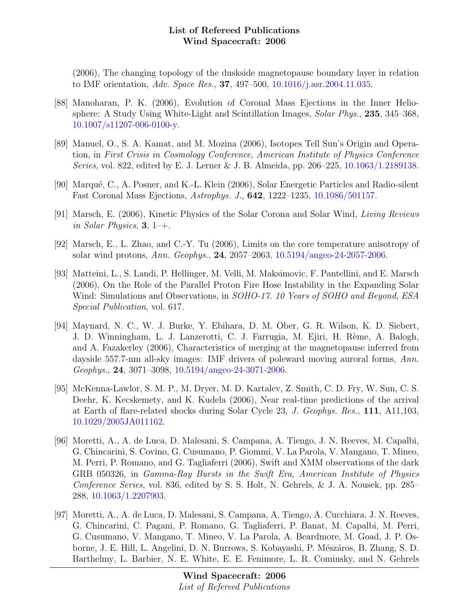(2006), The changing topology of the duskside magnetopause boundary layer in relation to IMF orientation, Adv. Space Res., 37, 497–500, [10.1016/j.asr.2004.11.035.](http://dx.doi.org/10.1016/j.asr.2004.11.035)

- [88] Manoharan, P. K. (2006), Evolution of Coronal Mass Ejections in the Inner Heliosphere: A Study Using White-Light and Scintillation Images, Solar Phys., 235, 345–368, [10.1007/s11207-006-0100-y.](http://dx.doi.org/10.1007/s11207-006-0100-y)
- [89] Manuel, O., S. A. Kamat, and M. Mozina (2006), Isotopes Tell Sun's Origin and Operation, in First Crisis in Cosmology Conference, American Institute of Physics Conference Series, vol. 822, edited by E. J. Lerner & J. B. Almeida, pp. 206–225, [10.1063/1.2189138.](http://dx.doi.org/10.1063/1.2189138)
- [90] Marqué, C., A. Posner, and K.-L. Klein (2006), Solar Energetic Particles and Radio-silent Fast Coronal Mass Ejections, Astrophys. J., 642, 1222–1235, [10.1086/501157.](http://dx.doi.org/10.1086/501157)
- [91] Marsch, E. (2006), Kinetic Physics of the Solar Corona and Solar Wind, Living Reviews in Solar Physics,  $3, 1$ –+.
- [92] Marsch, E., L. Zhao, and C.-Y. Tu (2006), Limits on the core temperature anisotropy of solar wind protons, Ann. Geophys., 24, 2057–2063, [10.5194/angeo-24-2057-2006.](http://dx.doi.org/10.5194/angeo-24-2057-2006)
- [93] Matteini, L., S. Landi, P. Hellinger, M. Velli, M. Maksimovic, F. Pantellini, and E. Marsch (2006), On the Role of the Parallel Proton Fire Hose Instability in the Expanding Solar Wind: Simulations and Observations, in SOHO-17. 10 Years of SOHO and Beyond, ESA Special Publication, vol. 617.
- [94] Maynard, N. C., W. J. Burke, Y. Ebihara, D. M. Ober, G. R. Wilson, K. D. Siebert, J. D. Winningham, L. J. Lanzerotti, C. J. Farrugia, M. Ejiri, H. Rème, A. Balogh, and A. Fazakerley (2006), Characteristics of merging at the magnetopause inferred from dayside 557.7-nm all-sky images: IMF drivers of poleward moving auroral forms, Ann. Geophys., 24, 3071–3098, [10.5194/angeo-24-3071-2006.](http://dx.doi.org/10.5194/angeo-24-3071-2006)
- [95] McKenna-Lawlor, S. M. P., M. Dryer, M. D. Kartalev, Z. Smith, C. D. Fry, W. Sun, C. S. Deehr, K. Kecskemety, and K. Kudela (2006), Near real-time predictions of the arrival at Earth of flare-related shocks during Solar Cycle 23, J. Geophys. Res., 111, A11,103, [10.1029/2005JA011162.](http://dx.doi.org/10.1029/2005JA011162)
- [96] Moretti, A., A. de Luca, D. Malesani, S. Campana, A. Tiengo, J. N. Reeves, M. Capalbi, G. Chincarini, S. Covino, G. Cusumano, P. Giommi, V. La Parola, V. Mangano, T. Mineo, M. Perri, P. Romano, and G. Tagliaferri (2006), Swift and XMM observations of the dark GRB 050326, in Gamma-Ray Bursts in the Swift Era, American Institute of Physics Conference Series, vol. 836, edited by S. S. Holt, N. Gehrels, & J. A. Nousek, pp. 285– 288, [10.1063/1.2207903.](http://dx.doi.org/10.1063/1.2207903)
- [97] Moretti, A., A. de Luca, D. Malesani, S. Campana, A. Tiengo, A. Cucchiara, J. N. Reeves, G. Chincarini, C. Pagani, P. Romano, G. Tagliaferri, P. Banat, M. Capalbi, M. Perri, G. Cusumano, V. Mangano, T. Mineo, V. La Parola, A. Beardmore, M. Goad, J. P. Osborne, J. E. Hill, L. Angelini, D. N. Burrows, S. Kobayashi, P. Mészáros, B. Zhang, S. D. Barthelmy, L. Barbier, N. E. White, E. E. Fenimore, L. R. Cominsky, and N. Gehrels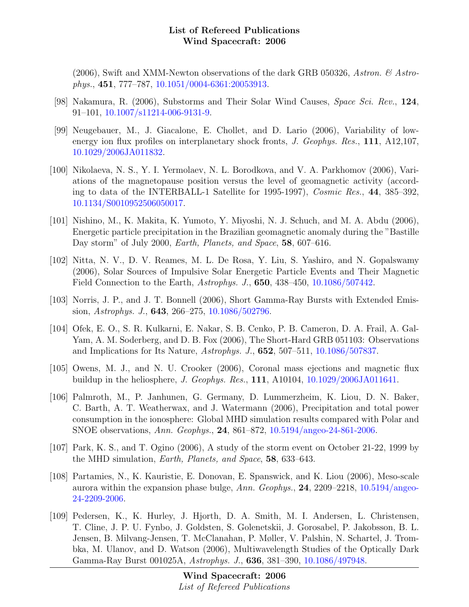(2006), Swift and XMM-Newton observations of the dark GRB 050326, Astron.  $\mathcal{C}$  Astrophys., 451, 777–787, [10.1051/0004-6361:20053913.](http://dx.doi.org/10.1051/0004-6361:20053913)

- [98] Nakamura, R. (2006), Substorms and Their Solar Wind Causes, Space Sci. Rev., 124, 91–101, [10.1007/s11214-006-9131-9.](http://dx.doi.org/10.1007/s11214-006-9131-9)
- [99] Neugebauer, M., J. Giacalone, E. Chollet, and D. Lario (2006), Variability of lowenergy ion flux profiles on interplanetary shock fronts, J. Geophys. Res., 111, A12,107, [10.1029/2006JA011832.](http://dx.doi.org/10.1029/2006JA011832)
- [100] Nikolaeva, N. S., Y. I. Yermolaev, N. L. Borodkova, and V. A. Parkhomov (2006), Variations of the magnetopause position versus the level of geomagnetic activity (according to data of the INTERBALL-1 Satellite for 1995-1997), Cosmic Res., 44, 385–392, [10.1134/S0010952506050017.](http://dx.doi.org/10.1134/S0010952506050017)
- [101] Nishino, M., K. Makita, K. Yumoto, Y. Miyoshi, N. J. Schuch, and M. A. Abdu (2006), Energetic particle precipitation in the Brazilian geomagnetic anomaly during the "Bastille Day storm" of July 2000, *Earth, Planets, and Space*, **58**, 607–616.
- [102] Nitta, N. V., D. V. Reames, M. L. De Rosa, Y. Liu, S. Yashiro, and N. Gopalswamy (2006), Solar Sources of Impulsive Solar Energetic Particle Events and Their Magnetic Field Connection to the Earth, Astrophys. J., 650, 438–450, [10.1086/507442.](http://dx.doi.org/10.1086/507442)
- [103] Norris, J. P., and J. T. Bonnell (2006), Short Gamma-Ray Bursts with Extended Emission, Astrophys. J., 643, 266–275, [10.1086/502796.](http://dx.doi.org/10.1086/502796)
- [104] Ofek, E. O., S. R. Kulkarni, E. Nakar, S. B. Cenko, P. B. Cameron, D. A. Frail, A. Gal-Yam, A. M. Soderberg, and D. B. Fox (2006), The Short-Hard GRB 051103: Observations and Implications for Its Nature, Astrophys. J., 652, 507–511, [10.1086/507837.](http://dx.doi.org/10.1086/507837)
- [105] Owens, M. J., and N. U. Crooker (2006), Coronal mass ejections and magnetic flux buildup in the heliosphere, J. Geophys. Res., 111, A10104, [10.1029/2006JA011641.](http://dx.doi.org/10.1029/2006JA011641)
- [106] Palmroth, M., P. Janhunen, G. Germany, D. Lummerzheim, K. Liou, D. N. Baker, C. Barth, A. T. Weatherwax, and J. Watermann (2006), Precipitation and total power consumption in the ionosphere: Global MHD simulation results compared with Polar and SNOE observations, Ann. Geophys., 24, 861–872, [10.5194/angeo-24-861-2006.](http://dx.doi.org/10.5194/angeo-24-861-2006)
- [107] Park, K. S., and T. Ogino (2006), A study of the storm event on October 21-22, 1999 by the MHD simulation, Earth, Planets, and Space, 58, 633–643.
- [108] Partamies, N., K. Kauristie, E. Donovan, E. Spanswick, and K. Liou (2006), Meso-scale aurora within the expansion phase bulge, Ann. Geophys.,  $24$ ,  $2209-2218$ ,  $10.5194/$ angeo-[24-2209-2006.](http://dx.doi.org/10.5194/angeo-24-2209-2006)
- [109] Pedersen, K., K. Hurley, J. Hjorth, D. A. Smith, M. I. Andersen, L. Christensen, T. Cline, J. P. U. Fynbo, J. Goldsten, S. Golenetskii, J. Gorosabel, P. Jakobsson, B. L. Jensen, B. Milvang-Jensen, T. McClanahan, P. Møller, V. Palshin, N. Schartel, J. Trombka, M. Ulanov, and D. Watson (2006), Multiwavelength Studies of the Optically Dark Gamma-Ray Burst 001025A, Astrophys. J., 636, 381–390, [10.1086/497948.](http://dx.doi.org/10.1086/497948)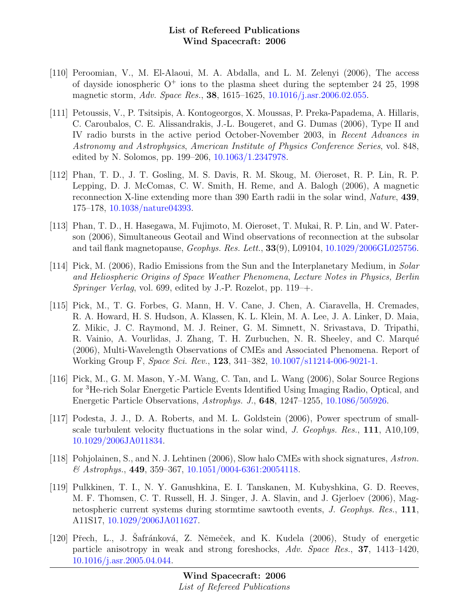- [110] Peroomian, V., M. El-Alaoui, M. A. Abdalla, and L. M. Zelenyi (2006), The access of dayside ionospheric  $O^+$  ions to the plasma sheet during the september 24 25, 1998 magnetic storm, Adv. Space Res., 38, 1615–1625, [10.1016/j.asr.2006.02.055.](http://dx.doi.org/10.1016/j.asr.2006.02.055)
- [111] Petoussis, V., P. Tsitsipis, A. Kontogeorgos, X. Moussas, P. Preka-Papadema, A. Hillaris, C. Caroubalos, C. E. Alissandrakis, J.-L. Bougeret, and G. Dumas (2006), Type II and IV radio bursts in the active period October-November 2003, in Recent Advances in Astronomy and Astrophysics, American Institute of Physics Conference Series, vol. 848, edited by N. Solomos, pp. 199–206, [10.1063/1.2347978.](http://dx.doi.org/10.1063/1.2347978)
- [112] Phan, T. D., J. T. Gosling, M. S. Davis, R. M. Skoug, M. Øieroset, R. P. Lin, R. P. Lepping, D. J. McComas, C. W. Smith, H. Reme, and A. Balogh (2006), A magnetic reconnection X-line extending more than 390 Earth radii in the solar wind, Nature, 439, 175–178, [10.1038/nature04393.](http://dx.doi.org/10.1038/nature04393)
- [113] Phan, T. D., H. Hasegawa, M. Fujimoto, M. Oieroset, T. Mukai, R. P. Lin, and W. Paterson (2006), Simultaneous Geotail and Wind observations of reconnection at the subsolar and tail flank magnetopause, Geophys. Res. Lett., 33(9), L09104, [10.1029/2006GL025756.](http://dx.doi.org/10.1029/2006GL025756)
- [114] Pick, M. (2006), Radio Emissions from the Sun and the Interplanetary Medium, in Solar and Heliospheric Origins of Space Weather Phenomena, Lecture Notes in Physics, Berlin Springer Verlag, vol. 699, edited by J.-P. Rozelot, pp.  $119 - +$ .
- [115] Pick, M., T. G. Forbes, G. Mann, H. V. Cane, J. Chen, A. Ciaravella, H. Cremades, R. A. Howard, H. S. Hudson, A. Klassen, K. L. Klein, M. A. Lee, J. A. Linker, D. Maia, Z. Mikic, J. C. Raymond, M. J. Reiner, G. M. Simnett, N. Srivastava, D. Tripathi, R. Vainio, A. Vourlidas, J. Zhang, T. H. Zurbuchen, N. R. Sheeley, and C. Marqué (2006), Multi-Wavelength Observations of CMEs and Associated Phenomena. Report of Working Group F, Space Sci. Rev., 123, 341–382, [10.1007/s11214-006-9021-1.](http://dx.doi.org/10.1007/s11214-006-9021-1)
- [116] Pick, M., G. M. Mason, Y.-M. Wang, C. Tan, and L. Wang (2006), Solar Source Regions for <sup>3</sup>He-rich Solar Energetic Particle Events Identified Using Imaging Radio, Optical, and Energetic Particle Observations, Astrophys. J., 648, 1247–1255, [10.1086/505926.](http://dx.doi.org/10.1086/505926)
- [117] Podesta, J. J., D. A. Roberts, and M. L. Goldstein (2006), Power spectrum of smallscale turbulent velocity fluctuations in the solar wind, *J. Geophys. Res.*, **111**, A10,109, [10.1029/2006JA011834.](http://dx.doi.org/10.1029/2006JA011834)
- [118] Pohjolainen, S., and N. J. Lehtinen (2006), Slow halo CMEs with shock signatures, Astron.  $\&$  Astrophys., 449, 359–367, [10.1051/0004-6361:20054118.](http://dx.doi.org/10.1051/0004-6361:20054118)
- [119] Pulkkinen, T. I., N. Y. Ganushkina, E. I. Tanskanen, M. Kubyshkina, G. D. Reeves, M. F. Thomsen, C. T. Russell, H. J. Singer, J. A. Slavin, and J. Gjerloev (2006), Magnetospheric current systems during stormtime sawtooth events, J. Geophys. Res., 111, A11S17, [10.1029/2006JA011627.](http://dx.doi.org/10.1029/2006JA011627)
- [120] Přech, L., J. Safránková, Z. Němeček, and K. Kudela (2006), Study of energetic particle anisotropy in weak and strong foreshocks, Adv. Space Res., 37, 1413–1420, [10.1016/j.asr.2005.04.044.](http://dx.doi.org/10.1016/j.asr.2005.04.044)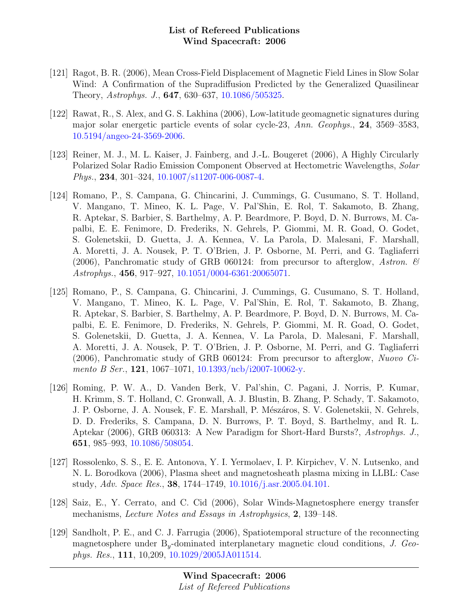- [121] Ragot, B. R. (2006), Mean Cross-Field Displacement of Magnetic Field Lines in Slow Solar Wind: A Confirmation of the Supradiffusion Predicted by the Generalized Quasilinear Theory, Astrophys. J., 647, 630–637, [10.1086/505325.](http://dx.doi.org/10.1086/505325)
- [122] Rawat, R., S. Alex, and G. S. Lakhina (2006), Low-latitude geomagnetic signatures during major solar energetic particle events of solar cycle-23, Ann. Geophys., 24, 3569–3583, [10.5194/angeo-24-3569-2006.](http://dx.doi.org/10.5194/angeo-24-3569-2006)
- [123] Reiner, M. J., M. L. Kaiser, J. Fainberg, and J.-L. Bougeret (2006), A Highly Circularly Polarized Solar Radio Emission Component Observed at Hectometric Wavelengths, Solar Phys., 234, 301–324, [10.1007/s11207-006-0087-4.](http://dx.doi.org/10.1007/s11207-006-0087-4)
- [124] Romano, P., S. Campana, G. Chincarini, J. Cummings, G. Cusumano, S. T. Holland, V. Mangano, T. Mineo, K. L. Page, V. Pal'Shin, E. Rol, T. Sakamoto, B. Zhang, R. Aptekar, S. Barbier, S. Barthelmy, A. P. Beardmore, P. Boyd, D. N. Burrows, M. Capalbi, E. E. Fenimore, D. Frederiks, N. Gehrels, P. Giommi, M. R. Goad, O. Godet, S. Golenetskii, D. Guetta, J. A. Kennea, V. La Parola, D. Malesani, F. Marshall, A. Moretti, J. A. Nousek, P. T. O'Brien, J. P. Osborne, M. Perri, and G. Tagliaferri (2006), Panchromatic study of GRB 060124: from precursor to afterglow, Astron.  $\mathcal{C}$ Astrophys., 456, 917–927, [10.1051/0004-6361:20065071.](http://dx.doi.org/10.1051/0004-6361:20065071)
- [125] Romano, P., S. Campana, G. Chincarini, J. Cummings, G. Cusumano, S. T. Holland, V. Mangano, T. Mineo, K. L. Page, V. Pal'Shin, E. Rol, T. Sakamoto, B. Zhang, R. Aptekar, S. Barbier, S. Barthelmy, A. P. Beardmore, P. Boyd, D. N. Burrows, M. Capalbi, E. E. Fenimore, D. Frederiks, N. Gehrels, P. Giommi, M. R. Goad, O. Godet, S. Golenetskii, D. Guetta, J. A. Kennea, V. La Parola, D. Malesani, F. Marshall, A. Moretti, J. A. Nousek, P. T. O'Brien, J. P. Osborne, M. Perri, and G. Tagliaferri (2006), Panchromatic study of GRB 060124: From precursor to afterglow, Nuovo Cimento B Ser., **121**, 1067–1071, [10.1393/ncb/i2007-10062-y.](http://dx.doi.org/10.1393/ncb/i2007-10062-y)
- [126] Roming, P. W. A., D. Vanden Berk, V. Pal'shin, C. Pagani, J. Norris, P. Kumar, H. Krimm, S. T. Holland, C. Gronwall, A. J. Blustin, B. Zhang, P. Schady, T. Sakamoto, J. P. Osborne, J. A. Nousek, F. E. Marshall, P. Mészáros, S. V. Golenetskii, N. Gehrels, D. D. Frederiks, S. Campana, D. N. Burrows, P. T. Boyd, S. Barthelmy, and R. L. Aptekar (2006), GRB 060313: A New Paradigm for Short-Hard Bursts?, Astrophys. J., 651, 985–993, [10.1086/508054.](http://dx.doi.org/10.1086/508054)
- [127] Rossolenko, S. S., E. E. Antonova, Y. I. Yermolaev, I. P. Kirpichev, V. N. Lutsenko, and N. L. Borodkova (2006), Plasma sheet and magnetosheath plasma mixing in LLBL: Case study, Adv. Space Res., 38, 1744–1749, [10.1016/j.asr.2005.04.101.](http://dx.doi.org/10.1016/j.asr.2005.04.101)
- [128] Saiz, E., Y. Cerrato, and C. Cid (2006), Solar Winds-Magnetosphere energy transfer mechanisms, Lecture Notes and Essays in Astrophysics, 2, 139–148.
- [129] Sandholt, P. E., and C. J. Farrugia (2006), Spatiotemporal structure of the reconnecting magnetosphere under  $B_y$ -dominated interplanetary magnetic cloud conditions, J. Geophys. Res., 111, 10,209, [10.1029/2005JA011514.](http://dx.doi.org/10.1029/2005JA011514)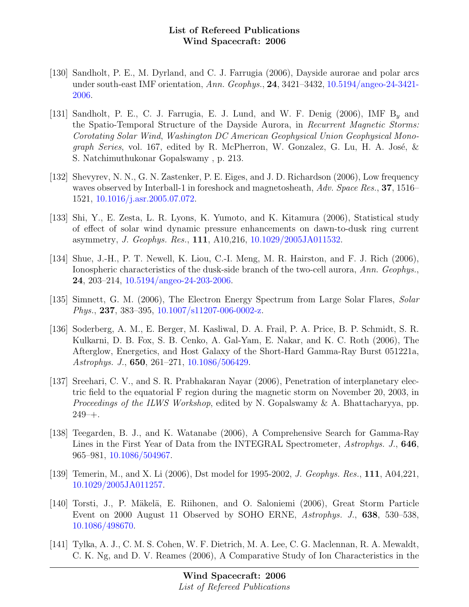- [130] Sandholt, P. E., M. Dyrland, and C. J. Farrugia (2006), Dayside aurorae and polar arcs under south-east IMF orientation, Ann. Geophys., 24, 3421–3432, [10.5194/angeo-24-3421-](http://dx.doi.org/10.5194/angeo-24-3421-2006) [2006.](http://dx.doi.org/10.5194/angeo-24-3421-2006)
- [131] Sandholt, P. E., C. J. Farrugia, E. J. Lund, and W. F. Denig  $(2006)$ , IMF B<sub>u</sub> and the Spatio-Temporal Structure of the Dayside Aurora, in Recurrent Magnetic Storms: Corotating Solar Wind, Washington DC American Geophysical Union Geophysical Mono*graph Series*, vol. 167, edited by R. McPherron, W. Gonzalez, G. Lu, H. A. José,  $\&$ S. Natchimuthukonar Gopalswamy , p. 213.
- [132] Shevyrev, N. N., G. N. Zastenker, P. E. Eiges, and J. D. Richardson (2006), Low frequency waves observed by Interball-1 in foreshock and magnetosheath, Adv. Space Res., 37, 1516– 1521, [10.1016/j.asr.2005.07.072.](http://dx.doi.org/10.1016/j.asr.2005.07.072)
- [133] Shi, Y., E. Zesta, L. R. Lyons, K. Yumoto, and K. Kitamura (2006), Statistical study of effect of solar wind dynamic pressure enhancements on dawn-to-dusk ring current asymmetry, J. Geophys. Res., 111, A10,216, [10.1029/2005JA011532.](http://dx.doi.org/10.1029/2005JA011532)
- [134] Shue, J.-H., P. T. Newell, K. Liou, C.-I. Meng, M. R. Hairston, and F. J. Rich (2006), Ionospheric characteristics of the dusk-side branch of the two-cell aurora, Ann. Geophys., 24, 203–214, [10.5194/angeo-24-203-2006.](http://dx.doi.org/10.5194/angeo-24-203-2006)
- [135] Simnett, G. M. (2006), The Electron Energy Spectrum from Large Solar Flares, Solar Phys., 237, 383–395, [10.1007/s11207-006-0002-z.](http://dx.doi.org/10.1007/s11207-006-0002-z)
- [136] Soderberg, A. M., E. Berger, M. Kasliwal, D. A. Frail, P. A. Price, B. P. Schmidt, S. R. Kulkarni, D. B. Fox, S. B. Cenko, A. Gal-Yam, E. Nakar, and K. C. Roth (2006), The Afterglow, Energetics, and Host Galaxy of the Short-Hard Gamma-Ray Burst 051221a, Astrophys. J., 650, 261–271, [10.1086/506429.](http://dx.doi.org/10.1086/506429)
- [137] Sreehari, C. V., and S. R. Prabhakaran Nayar (2006), Penetration of interplanetary electric field to the equatorial F region during the magnetic storm on November 20, 2003, in Proceedings of the ILWS Workshop, edited by N. Gopalswamy & A. Bhattacharyya, pp.  $249 - +$ .
- [138] Teegarden, B. J., and K. Watanabe (2006), A Comprehensive Search for Gamma-Ray Lines in the First Year of Data from the INTEGRAL Spectrometer, Astrophys. J., 646, 965–981, [10.1086/504967.](http://dx.doi.org/10.1086/504967)
- [139] Temerin, M., and X. Li (2006), Dst model for 1995-2002, J. Geophys. Res., 111, A04,221, [10.1029/2005JA011257.](http://dx.doi.org/10.1029/2005JA011257)
- [140] Torsti, J., P. Mäkelä, E. Riihonen, and O. Saloniemi (2006), Great Storm Particle Event on 2000 August 11 Observed by SOHO ERNE, Astrophys. J., 638, 530–538, [10.1086/498670.](http://dx.doi.org/10.1086/498670)
- [141] Tylka, A. J., C. M. S. Cohen, W. F. Dietrich, M. A. Lee, C. G. Maclennan, R. A. Mewaldt, C. K. Ng, and D. V. Reames (2006), A Comparative Study of Ion Characteristics in the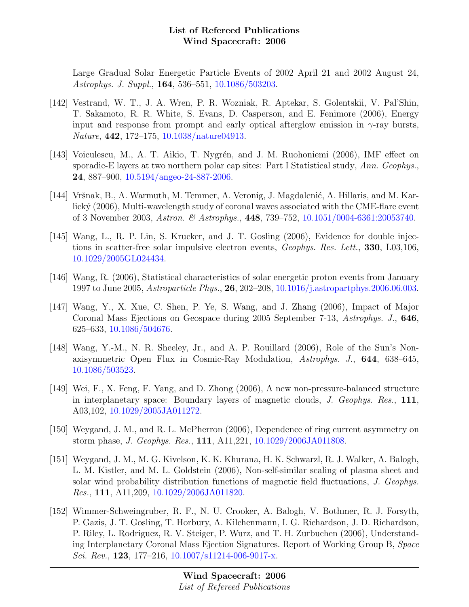Large Gradual Solar Energetic Particle Events of 2002 April 21 and 2002 August 24, Astrophys. J. Suppl., 164, 536–551, [10.1086/503203.](http://dx.doi.org/10.1086/503203)

- [142] Vestrand, W. T., J. A. Wren, P. R. Wozniak, R. Aptekar, S. Golentskii, V. Pal'Shin, T. Sakamoto, R. R. White, S. Evans, D. Casperson, and E. Fenimore (2006), Energy input and response from prompt and early optical afterglow emission in  $\gamma$ -ray bursts, Nature, 442, 172–175, [10.1038/nature04913.](http://dx.doi.org/10.1038/nature04913)
- [143] Voiculescu, M., A. T. Aikio, T. Nygrén, and J. M. Ruohoniemi (2006), IMF effect on sporadic-E layers at two northern polar cap sites: Part I Statistical study, Ann. Geophys., 24, 887–900, [10.5194/angeo-24-887-2006.](http://dx.doi.org/10.5194/angeo-24-887-2006)
- [144] Vršnak, B., A. Warmuth, M. Temmer, A. Veronig, J. Magdalenić, A. Hillaris, and M. Karlický (2006), Multi-wavelength study of coronal waves associated with the CME-flare event of 3 November 2003, Astron. & Astrophys., 448, 739–752, [10.1051/0004-6361:20053740.](http://dx.doi.org/10.1051/0004-6361:20053740)
- [145] Wang, L., R. P. Lin, S. Krucker, and J. T. Gosling (2006), Evidence for double injections in scatter-free solar impulsive electron events, Geophys. Res. Lett., 330, L03,106, [10.1029/2005GL024434.](http://dx.doi.org/10.1029/2005GL024434)
- [146] Wang, R. (2006), Statistical characteristics of solar energetic proton events from January 1997 to June 2005, Astroparticle Phys., 26, 202–208, [10.1016/j.astropartphys.2006.06.003.](http://dx.doi.org/10.1016/j.astropartphys.2006.06.003)
- [147] Wang, Y., X. Xue, C. Shen, P. Ye, S. Wang, and J. Zhang (2006), Impact of Major Coronal Mass Ejections on Geospace during 2005 September 7-13, Astrophys. J., 646, 625–633, [10.1086/504676.](http://dx.doi.org/10.1086/504676)
- [148] Wang, Y.-M., N. R. Sheeley, Jr., and A. P. Rouillard (2006), Role of the Sun's Nonaxisymmetric Open Flux in Cosmic-Ray Modulation, Astrophys. J., 644, 638–645, [10.1086/503523.](http://dx.doi.org/10.1086/503523)
- [149] Wei, F., X. Feng, F. Yang, and D. Zhong (2006), A new non-pressure-balanced structure in interplanetary space: Boundary layers of magnetic clouds, J. Geophys. Res., 111, A03,102, [10.1029/2005JA011272.](http://dx.doi.org/10.1029/2005JA011272)
- [150] Weygand, J. M., and R. L. McPherron (2006), Dependence of ring current asymmetry on storm phase, J. Geophys. Res., 111, A11,221, [10.1029/2006JA011808.](http://dx.doi.org/10.1029/2006JA011808)
- [151] Weygand, J. M., M. G. Kivelson, K. K. Khurana, H. K. Schwarzl, R. J. Walker, A. Balogh, L. M. Kistler, and M. L. Goldstein (2006), Non-self-similar scaling of plasma sheet and solar wind probability distribution functions of magnetic field fluctuations, J. Geophys. Res., 111, A11,209, [10.1029/2006JA011820.](http://dx.doi.org/10.1029/2006JA011820)
- [152] Wimmer-Schweingruber, R. F., N. U. Crooker, A. Balogh, V. Bothmer, R. J. Forsyth, P. Gazis, J. T. Gosling, T. Horbury, A. Kilchenmann, I. G. Richardson, J. D. Richardson, P. Riley, L. Rodriguez, R. V. Steiger, P. Wurz, and T. H. Zurbuchen (2006), Understanding Interplanetary Coronal Mass Ejection Signatures. Report of Working Group B, Space Sci. Rev., 123, 177-216,  $10.1007 \text{/s} 11214 \text{-} 006 \text{-} 9017 \text{-} x.$